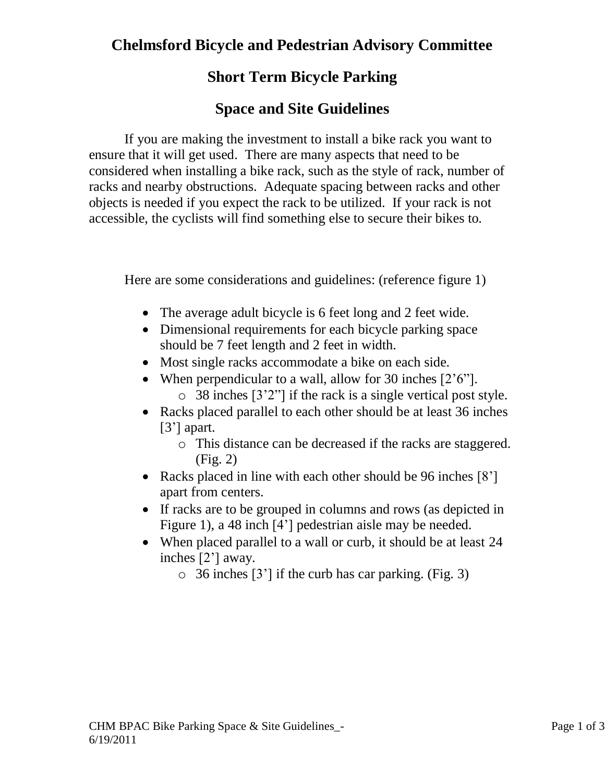## **Chelmsford Bicycle and Pedestrian Advisory Committee**

### **Short Term Bicycle Parking**

#### **Space and Site Guidelines**

If you are making the investment to install a bike rack you want to ensure that it will get used. There are many aspects that need to be considered when installing a bike rack, such as the style of rack, number of racks and nearby obstructions. Adequate spacing between racks and other objects is needed if you expect the rack to be utilized. If your rack is not accessible, the cyclists will find something else to secure their bikes to.

Here are some considerations and guidelines: (reference figure 1)

- The average adult bicycle is 6 feet long and 2 feet wide.
- Dimensional requirements for each bicycle parking space should be 7 feet length and 2 feet in width.
- Most single racks accommodate a bike on each side.
- When perpendicular to a wall, allow for 30 inches [2'6"].
	- o 38 inches [3'2"] if the rack is a single vertical post style.
- Racks placed parallel to each other should be at least 36 inches [3'] apart.
	- o This distance can be decreased if the racks are staggered. (Fig. 2)
- Racks placed in line with each other should be 96 inches [8'] apart from centers.
- If racks are to be grouped in columns and rows (as depicted in Figure 1), a 48 inch [4'] pedestrian aisle may be needed.
- When placed parallel to a wall or curb, it should be at least 24 inches [2'] away.
	- $\circ$  36 inches [3'] if the curb has car parking. (Fig. 3)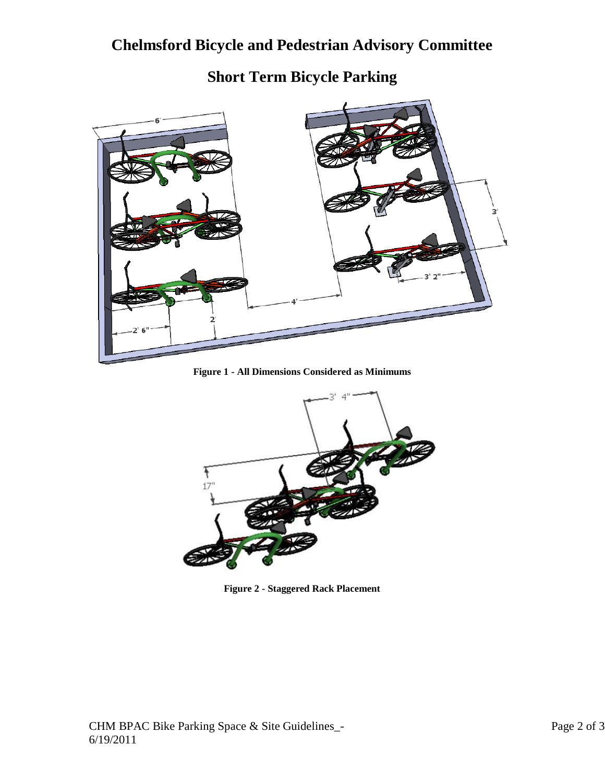## **Chelmsford Bicycle and Pedestrian Advisory Committee**



# **Short Term Bicycle Parking**

**Figure 1 - All Dimensions Considered as Minimums**



**Figure 2 - Staggered Rack Placement**